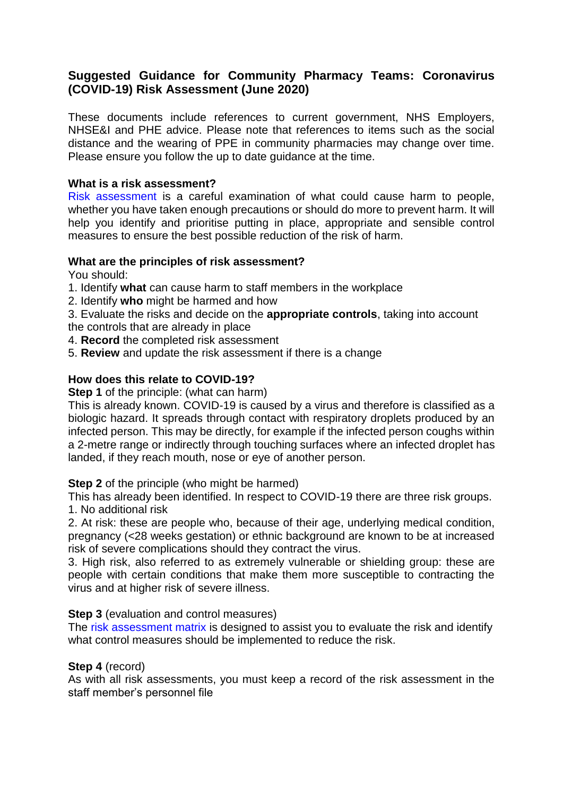# **Suggested Guidance for Community Pharmacy Teams: Coronavirus (COVID-19) Risk Assessment (June 2020)**

These documents include references to current government, NHS Employers, NHSE&I and PHE advice. Please note that references to items such as the social distance and the wearing of PPE in community pharmacies may change over time. Please ensure you follow the up to date guidance at the time.

#### **What is a risk assessment?**

Risk assessment is a careful examination of what could cause harm to people, whether you have taken enough precautions or should do more to prevent harm. It will help you identify and prioritise putting in place, appropriate and sensible control measures to ensure the best possible reduction of the risk of harm.

# **What are the principles of risk assessment?**

You should:

- 1. Identify **what** can cause harm to staff members in the workplace
- 2. Identify **who** might be harmed and how

3. Evaluate the risks and decide on the **appropriate controls**, taking into account the controls that are already in place

- 4. **Record** the completed risk assessment
- 5. **Review** and update the risk assessment if there is a change

### **How does this relate to COVID-19?**

**Step 1** of the principle: (what can harm)

This is already known. COVID-19 is caused by a virus and therefore is classified as a biologic hazard. It spreads through contact with respiratory droplets produced by an infected person. This may be directly, for example if the infected person coughs within a 2-metre range or indirectly through touching surfaces where an infected droplet has landed, if they reach mouth, nose or eye of another person.

#### **Step 2** of the principle (who might be harmed)

This has already been identified. In respect to COVID-19 there are three risk groups. 1. No additional risk

2. At risk: these are people who, because of their age, underlying medical condition, pregnancy (<28 weeks gestation) or ethnic background are known to be at increased risk of severe complications should they contract the virus.

3. High risk, also referred to as extremely vulnerable or shielding group: these are people with certain conditions that make them more susceptible to contracting the virus and at higher risk of severe illness.

#### **Step 3** (evaluation and control measures)

The risk assessment matrix is designed to assist you to evaluate the risk and identify what control measures should be implemented to reduce the risk.

#### **Step 4** (record)

As with all risk assessments, you must keep a record of the risk assessment in the staff member's personnel file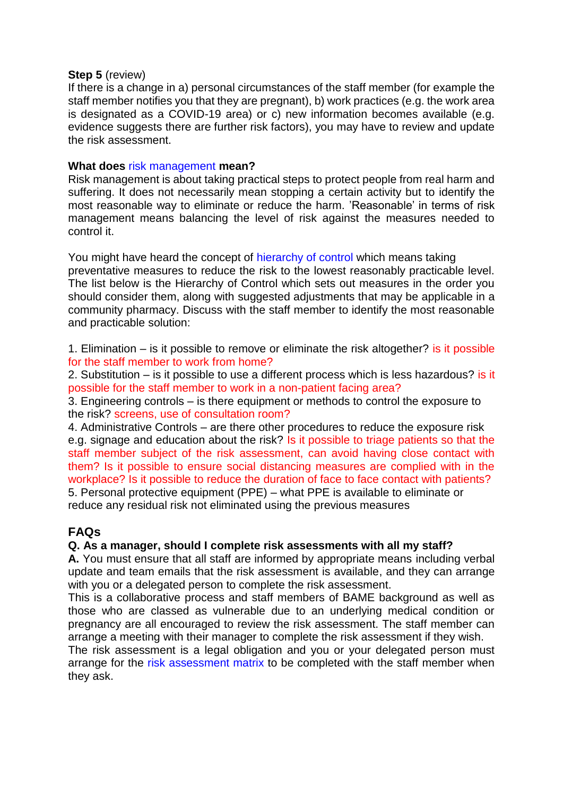#### **Step 5** (review)

If there is a change in a) personal circumstances of the staff member (for example the staff member notifies you that they are pregnant), b) work practices (e.g. the work area is designated as a COVID-19 area) or c) new information becomes available (e.g. evidence suggests there are further risk factors), you may have to review and update the risk assessment.

### **What does** risk management **mean?**

Risk management is about taking practical steps to protect people from real harm and suffering. It does not necessarily mean stopping a certain activity but to identify the most reasonable way to eliminate or reduce the harm. 'Reasonable' in terms of risk management means balancing the level of risk against the measures needed to control it.

You might have heard the concept of hierarchy of control which means taking preventative measures to reduce the risk to the lowest reasonably practicable level. The list below is the Hierarchy of Control which sets out measures in the order you should consider them, along with suggested adjustments that may be applicable in a community pharmacy. Discuss with the staff member to identify the most reasonable and practicable solution:

1. Elimination  $-$  is it possible to remove or eliminate the risk altogether? is it possible for the staff member to work from home?

2. Substitution – is it possible to use a different process which is less hazardous? is it possible for the staff member to work in a non-patient facing area?

3. Engineering controls – is there equipment or methods to control the exposure to the risk? screens, use of consultation room?

4. Administrative Controls – are there other procedures to reduce the exposure risk e.g. signage and education about the risk? Is it possible to triage patients so that the staff member subject of the risk assessment, can avoid having close contact with them? Is it possible to ensure social distancing measures are complied with in the workplace? Is it possible to reduce the duration of face to face contact with patients? 5. Personal protective equipment (PPE) – what PPE is available to eliminate or reduce any residual risk not eliminated using the previous measures

# **FAQs**

### **Q. As a manager, should I complete risk assessments with all my staff?**

**A.** You must ensure that all staff are informed by appropriate means including verbal update and team emails that the risk assessment is available, and they can arrange with you or a delegated person to complete the risk assessment.

This is a collaborative process and staff members of BAME background as well as those who are classed as vulnerable due to an underlying medical condition or pregnancy are all encouraged to review the risk assessment. The staff member can arrange a meeting with their manager to complete the risk assessment if they wish.

The risk assessment is a legal obligation and you or your delegated person must arrange for the risk assessment matrix to be completed with the staff member when they ask.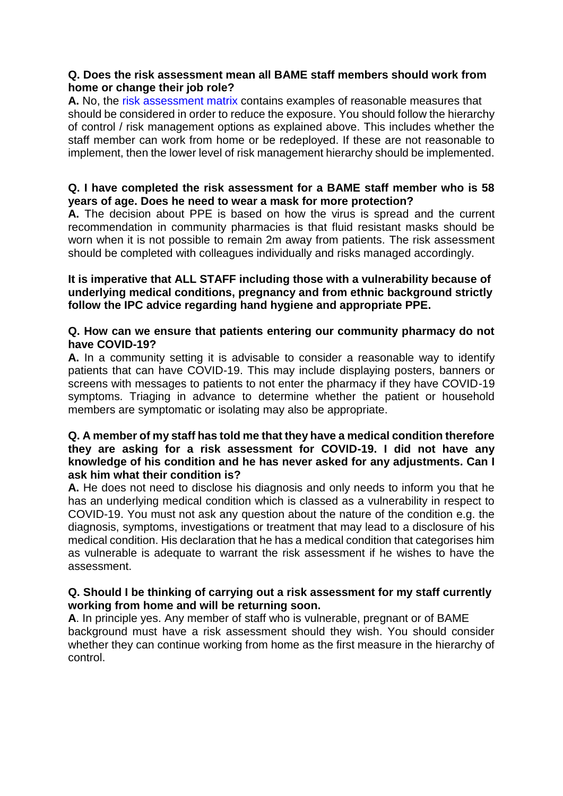### **Q. Does the risk assessment mean all BAME staff members should work from home or change their job role?**

**A.** No, the risk assessment matrix contains examples of reasonable measures that should be considered in order to reduce the exposure. You should follow the hierarchy of control / risk management options as explained above. This includes whether the staff member can work from home or be redeployed. If these are not reasonable to implement, then the lower level of risk management hierarchy should be implemented.

# **Q. I have completed the risk assessment for a BAME staff member who is 58 years of age. Does he need to wear a mask for more protection?**

**A.** The decision about PPE is based on how the virus is spread and the current recommendation in community pharmacies is that fluid resistant masks should be worn when it is not possible to remain 2m away from patients. The risk assessment should be completed with colleagues individually and risks managed accordingly.

### **It is imperative that ALL STAFF including those with a vulnerability because of underlying medical conditions, pregnancy and from ethnic background strictly follow the IPC advice regarding hand hygiene and appropriate PPE.**

### **Q. How can we ensure that patients entering our community pharmacy do not have COVID-19?**

**A.** In a community setting it is advisable to consider a reasonable way to identify patients that can have COVID-19. This may include displaying posters, banners or screens with messages to patients to not enter the pharmacy if they have COVID-19 symptoms. Triaging in advance to determine whether the patient or household members are symptomatic or isolating may also be appropriate.

### **Q. A member of my staff has told me that they have a medical condition therefore they are asking for a risk assessment for COVID-19. I did not have any knowledge of his condition and he has never asked for any adjustments. Can I ask him what their condition is?**

**A.** He does not need to disclose his diagnosis and only needs to inform you that he has an underlying medical condition which is classed as a vulnerability in respect to COVID-19. You must not ask any question about the nature of the condition e.g. the diagnosis, symptoms, investigations or treatment that may lead to a disclosure of his medical condition. His declaration that he has a medical condition that categorises him as vulnerable is adequate to warrant the risk assessment if he wishes to have the assessment.

# **Q. Should I be thinking of carrying out a risk assessment for my staff currently working from home and will be returning soon.**

**A**. In principle yes. Any member of staff who is vulnerable, pregnant or of BAME background must have a risk assessment should they wish. You should consider whether they can continue working from home as the first measure in the hierarchy of control.